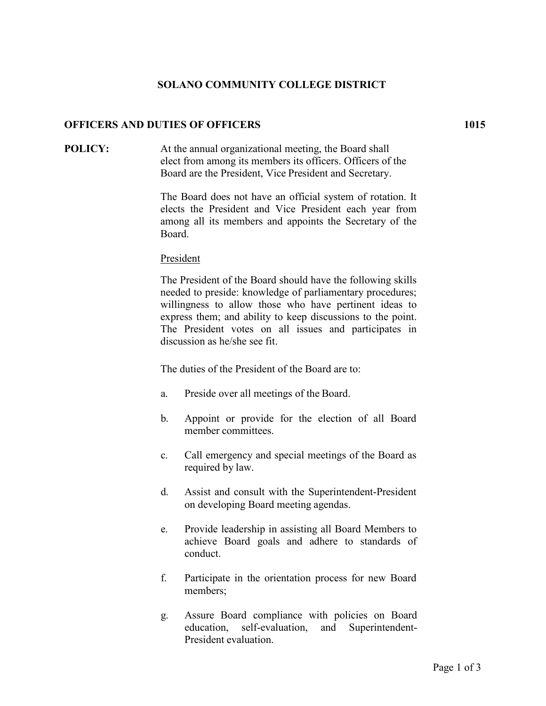# **SOLANO COMMUNITY COLLEGE DISTRICT**

### **OFFICERS AND DUTIES OF OFFICERS 1015**

### **POLICY:** At the annual organizational meeting, the Board shall elect from among its members its officers. Officers of the Board are the President, Vice President and Secretary.

The Board does not have an official system of rotation. It elects the President and Vice President each year from among all its members and appoints the Secretary of the Board.

#### President

The President of the Board should have the following skills needed to preside: knowledge of parliamentary procedures; willingness to allow those who have pertinent ideas to express them; and ability to keep discussions to the point. The President votes on all issues and participates in discussion as he/she see fit.

The duties of the President of the Board are to:

- a. Preside over all meetings of the Board.
- b. Appoint or provide for the election of all Board member committees.
- c. Call emergency and special meetings of the Board as required by law.
- d. Assist and consult with the Superintendent-President on developing Board meeting agendas.
- e. Provide leadership in assisting all Board Members to achieve Board goals and adhere to standards of conduct.
- f. Participate in the orientation process for new Board members;
- g. Assure Board compliance with policies on Board education, self-evaluation, and Superintendent-President evaluation.

Page 1 of 3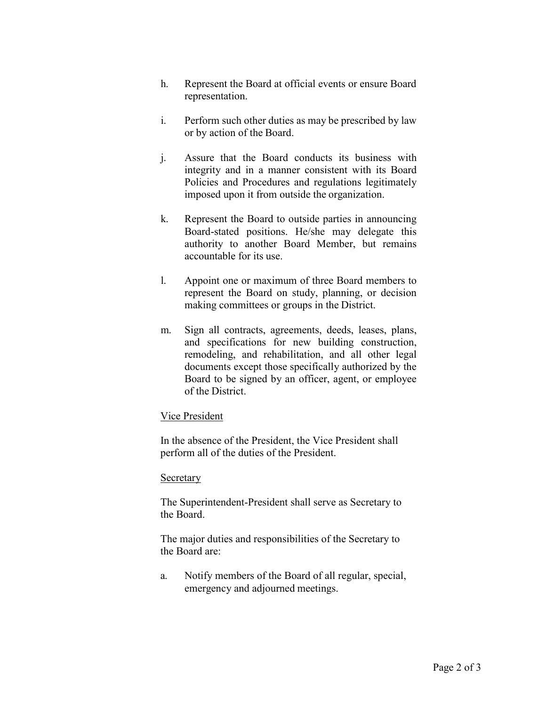- h. Represent the Board at official events or ensure Board representation.
- i. Perform such other duties as may be prescribed by law or by action of the Board.
- j. Assure that the Board conducts its business with integrity and in a manner consistent with its Board Policies and Procedures and regulations legitimately imposed upon it from outside the organization.
- k. Represent the Board to outside parties in announcing Board-stated positions. He/she may delegate this authority to another Board Member, but remains accountable for its use.
- l. Appoint one or maximum of three Board members to represent the Board on study, planning, or decision making committees or groups in the District.
- m. Sign all contracts, agreements, deeds, leases, plans, and specifications for new building construction, remodeling, and rehabilitation, and all other legal documents except those specifically authorized by the Board to be signed by an officer, agent, or employee of the District.

## Vice President

In the absence of the President, the Vice President shall perform all of the duties of the President.

## **Secretary**

The Superintendent-President shall serve as Secretary to the Board.

The major duties and responsibilities of the Secretary to the Board are:

a. Notify members of the Board of all regular, special, emergency and adjourned meetings.